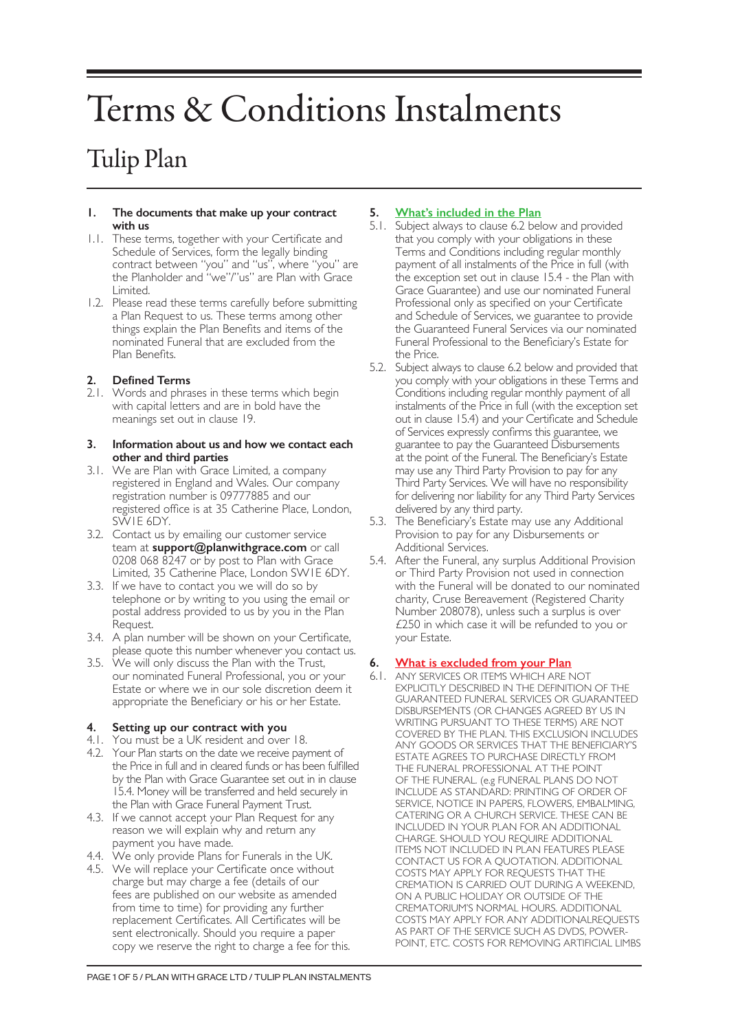# Terms & Conditions Instalments

# Tulip Plan

#### **1. The documents that make up your contract with us**

- 1.1. These terms, together with your Certificate and Schedule of Services, form the legally binding contract between "you" and "us", where "you" are the Planholder and "we"/"us" are Plan with Grace Limited.
- 1.2. Please read these terms carefully before submitting a Plan Request to us. These terms among other things explain the Plan Benefits and items of the nominated Funeral that are excluded from the Plan Benefits.

# **2. Defined Terms**

2.1. Words and phrases in these terms which begin with capital letters and are in bold have the meanings set out in clause 19.

#### **3. Information about us and how we contact each other and third parties**

- 3.1. We are Plan with Grace Limited, a company registered in England and Wales. Our company registration number is 09777885 and our registered office is at 35 Catherine Place, London, SW1E 6DY.
- 3.2. Contact us by emailing our customer service team at **support@planwithgrace.com** or call 0208 068 8247 or by post to Plan with Grace Limited, 35 Catherine Place, London SW1E 6DY.
- 3.3. If we have to contact you we will do so by telephone or by writing to you using the email or postal address provided to us by you in the Plan Request.
- 3.4. A plan number will be shown on your Certificate, please quote this number whenever you contact us.
- 3.5. We will only discuss the Plan with the Trust, our nominated Funeral Professional, you or your Estate or where we in our sole discretion deem it appropriate the Beneficiary or his or her Estate.

# **4. Setting up our contract with you**

- 4.1. You must be a UK resident and over 18.
- 4.2. Your Plan starts on the date we receive payment of the Price in full and in cleared funds or has been fulfilled by the Plan with Grace Guarantee set out in in clause 15.4. Money will be transferred and held securely in the Plan with Grace Funeral Payment Trust.
- 4.3. If we cannot accept your Plan Request for any reason we will explain why and return any payment you have made.
- 4.4. We only provide Plans for Funerals in the UK.
- 4.5. We will replace your Certificate once without charge but may charge a fee (details of our fees are published on our website as amended from time to time) for providing any further replacement Certificates. All Certificates will be sent electronically. Should you require a paper copy we reserve the right to charge a fee for this.

# **5. What's included in the Plan**

- 5.1. Subject always to clause 6.2 below and provided that you comply with your obligations in these Terms and Conditions including regular monthly payment of all instalments of the Price in full (with the exception set out in clause 15.4 - the Plan with Grace Guarantee) and use our nominated Funeral Professional only as specified on your Certificate and Schedule of Services, we guarantee to provide the Guaranteed Funeral Services via our nominated Funeral Professional to the Beneficiary's Estate for the Price.
- 5.2. Subject always to clause 6.2 below and provided that you comply with your obligations in these Terms and Conditions including regular monthly payment of all instalments of the Price in full (with the exception set out in clause 15.4) and your Certificate and Schedule of Services expressly confirms this guarantee, we guarantee to pay the Guaranteed Disbursements at the point of the Funeral. The Beneficiary's Estate may use any Third Party Provision to pay for any Third Party Services. We will have no responsibility for delivering nor liability for any Third Party Services delivered by any third party.
- 5.3. The Beneficiary's Estate may use any Additional Provision to pay for any Disbursements or Additional Services.
- 5.4. After the Funeral, any surplus Additional Provision or Third Party Provision not used in connection with the Funeral will be donated to our nominated charity, Cruse Bereavement (Registered Charity Number 208078), unless such a surplus is over £250 in which case it will be refunded to you or your Estate.

# **6. What is excluded from your Plan**

6.1. ANY SERVICES OR ITEMS WHICH ARE NOT EXPLICITLY DESCRIBED IN THE DEFINITION OF THE GUARANTEED FUNERAL SERVICES OR GUARANTEED DISBURSEMENTS (OR CHANGES AGREED BY US IN WRITING PURSUANT TO THESE TERMS) ARE NOT COVERED BY THE PLAN. THIS EXCLUSION INCLUDES ANY GOODS OR SERVICES THAT THE BENEFICIARY'S ESTATE AGREES TO PURCHASE DIRECTLY FROM THE FUNERAL PROFESSIONAL AT THE POINT OF THE FUNERAL. (e.g FUNERAL PLANS DO NOT INCLUDE AS STANDARD: PRINTING OF ORDER OF SERVICE, NOTICE IN PAPERS, FLOWERS, EMBALMING, CATERING OR A CHURCH SERVICE. THESE CAN BE INCLUDED IN YOUR PLAN FOR AN ADDITIONAL CHARGE. SHOULD YOU REQUIRE ADDITIONAL ITEMS NOT INCLUDED IN PLAN FEATURES PLEASE CONTACT US FOR A QUOTATION. ADDITIONAL COSTS MAY APPLY FOR REQUESTS THAT THE CREMATION IS CARRIED OUT DURING A WEEKEND, ON A PUBLIC HOLIDAY OR OUTSIDE OF THE CREMATORIUM'S NORMAL HOURS. ADDITIONAL COSTS MAY APPLY FOR ANY ADDITIONALREQUESTS AS PART OF THE SERVICE SUCH AS DVDS, POWER-POINT, ETC. COSTS FOR REMOVING ARTIFICIAL LIMBS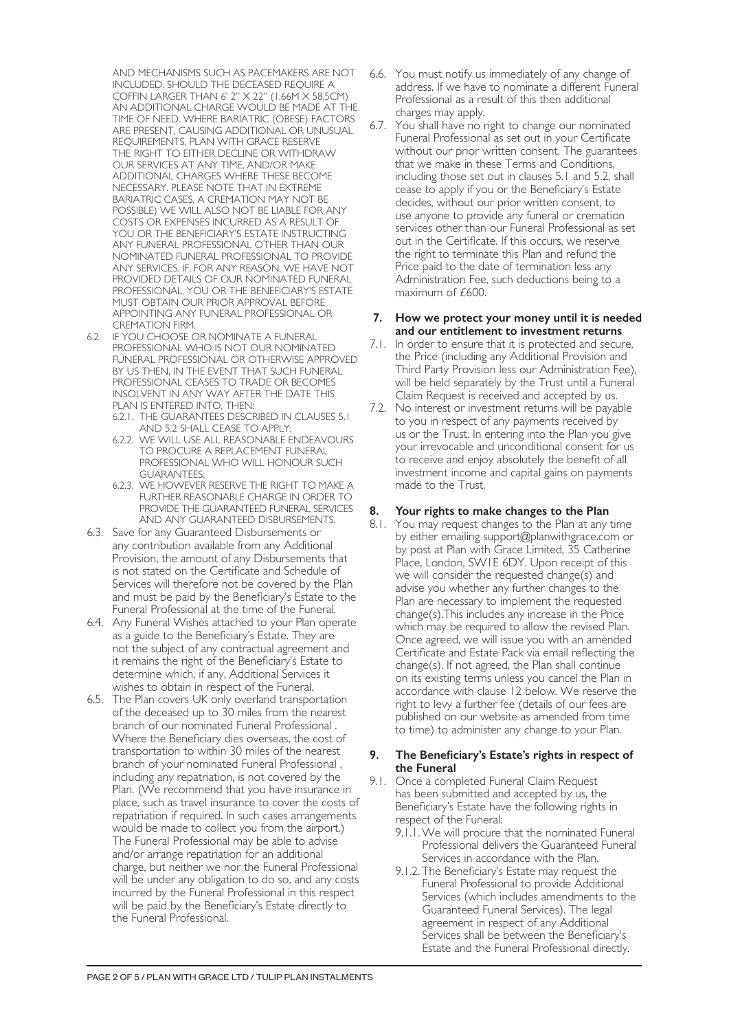AND MECHANISMS SUCH AS PACEMAKERS ARE NOT INCLUDED. SHOULD THE DECEASED REQUIRE A COFFIN LARGER THAN 6' 2" X 22" (1.66M X 58.5CM) AN ADDITIONAL CHARGE WOULD BE MADE AT THE TIME OF NEED. WHERE BARIATRIC (OBESE) FACTORS ARE PRESENT, CAUSING ADDITIONAL OR UNUSUAL REQUIREMENTS, PLAN WITH GRACE RESERVE THE RIGHT TO EITHER DECLINE OR WITHDRAW OUR SERVICES AT ANY TIME, AND/OR MAKE ADDITIONAL CHARGES WHERE THESE BECOME NECESSARY. PLEASE NOTE THAT IN EXTREME BARIATRIC CASES, A CREMATION MAY NOT BE POSSIBLE) WE WILL ALSO NOT BE LIABLE FOR ANY COSTS OR EXPENSES INCURRED AS A RESULT OF YOU OR THE BENEFICIARY'S ESTATE INSTRUCTING ANY FUNERAL PROFESSIONAL OTHER THAN OUR NOMINATED FUNERAL PROFESSIONAL TO PROVIDE ANY SERVICES. IF, FOR ANY REASON, WE HAVE NOT PROVIDED DETAILS OF OUR NOMINATED FUNERAL PROFESSIONAL, YOU OR THE BENEFICIARY'S ESTATE MUST OBTAIN OUR PRIOR APPROVAL BEFORE APPOINTING ANY FUNERAL PROFESSIONAL OR CREMATION FIRM.

- 6.2. IF YOU CHOOSE OR NOMINATE A FUNERAL PROFESSIONAL WHO IS NOT OUR NOMINATED FUNERAL PROFESSIONAL OR OTHERWISE APPROVED BY US THEN, IN THE EVENT THAT SUCH FUNERAL PROFESSIONAL CEASES TO TRADE OR BECOMES INSOLVENT IN ANY WAY AFTER THE DATE THIS PLAN IS ENTERED INTO, THEN:
	- 6.2.1. THE GUARANTEES DESCRIBED IN CLAUSES 5.1 AND 5.2 SHALL CEASE TO APPLY;
	- 6.2.2. WE WILL USE ALL REASONABLE ENDEAVOURS TO PROCURE A REPLACEMENT FUNERAL PROFESSIONAL WHO WILL HONOUR SUCH GUARANTEES;
	- 6.2.3. WE HOWEVER RESERVE THE RIGHT TO MAKE A FURTHER REASONABLE CHARGE IN ORDER TO PROVIDE THE GUARANTEED FUNERAL SERVICES AND ANY GUARANTEED DISBURSEMENTS.
- 6.3. Save for any Guaranteed Disbursements or any contribution available from any Additional Provision, the amount of any Disbursements that is not stated on the Certificate and Schedule of Services will therefore not be covered by the Plan and must be paid by the Beneficiary's Estate to the Funeral Professional at the time of the Funeral.
- 6.4. Any Funeral Wishes attached to your Plan operate as a guide to the Beneficiary's Estate. They are not the subject of any contractual agreement and it remains the right of the Beneficiary's Estate to determine which, if any, Additional Services it wishes to obtain in respect of the Funeral.
- 6.5. The Plan covers UK only overland transportation of the deceased up to 30 miles from the nearest branch of our nominated Funeral Professional . Where the Beneficiary dies overseas, the cost of transportation to within 30 miles of the nearest branch of your nominated Funeral Professional , including any repatriation, is not covered by the Plan. (We recommend that you have insurance in place, such as travel insurance to cover the costs of repatriation if required. In such cases arrangements would be made to collect you from the airport.) The Funeral Professional may be able to advise and/or arrange repatriation for an additional charge, but neither we nor the Funeral Professional will be under any obligation to do so, and any costs incurred by the Funeral Professional in this respect will be paid by the Beneficiary's Estate directly to the Funeral Professional.
- 6.6. You must notify us immediately of any change of address. If we have to nominate a different Funeral Professional as a result of this then additional charges may apply.
- 6.7. You shall have no right to change our nominated Funeral Professional as set out in your Certificate without our prior written consent. The guarantees that we make in these Terms and Conditions, including those set out in clauses 5.1 and 5.2, shall cease to apply if you or the Beneficiary's Estate decides, without our prior written consent, to use anyone to provide any funeral or cremation services other than our Funeral Professional as set out in the Certificate. If this occurs, we reserve the right to terminate this Plan and refund the Price paid to the date of termination less any Administration Fee, such deductions being to a maximum of £600.

#### **7. How we protect your money until it is needed and our entitlement to investment returns**

- 7.1. In order to ensure that it is protected and secure, the Price (including any Additional Provision and Third Party Provision less our Administration Fee), will be held separately by the Trust until a Funeral Claim Request is received and accepted by us.
- 7.2. No interest or investment returns will be payable to you in respect of any payments received by us or the Trust. In entering into the Plan you give your irrevocable and unconditional consent for us to receive and enjoy absolutely the benefit of all investment income and capital gains on payments made to the Trust.

# **8. Your rights to make changes to the Plan**

8.1. You may request changes to the Plan at any time by either emailing support@planwithgrace.com or by post at Plan with Grace Limited, 35 Catherine Place, London, SW1E 6DY. Upon receipt of this we will consider the requested change(s) and advise you whether any further changes to the Plan are necessary to implement the requested change(s).This includes any increase in the Price which may be required to allow the revised Plan. Once agreed, we will issue you with an amended Certificate and Estate Pack via email reflecting the change(s). If not agreed, the Plan shall continue on its existing terms unless you cancel the Plan in accordance with clause 12 below. We reserve the right to levy a further fee (details of our fees are published on our website as amended from time to time) to administer any change to your Plan.

#### **9. The Beneficiary's Estate's rights in respect of the Funeral**

- 9.1. Once a completed Funeral Claim Request has been submitted and accepted by us, the Beneficiary's Estate have the following rights in respect of the Funeral:
	- 9.1.1.We will procure that the nominated Funeral Professional delivers the Guaranteed Funeral Services in accordance with the Plan.
	- 9.1.2. The Beneficiary's Estate may request the Funeral Professional to provide Additional Services (which includes amendments to the Guaranteed Funeral Services). The legal agreement in respect of any Additional Services shall be between the Beneficiary's Estate and the Funeral Professional directly.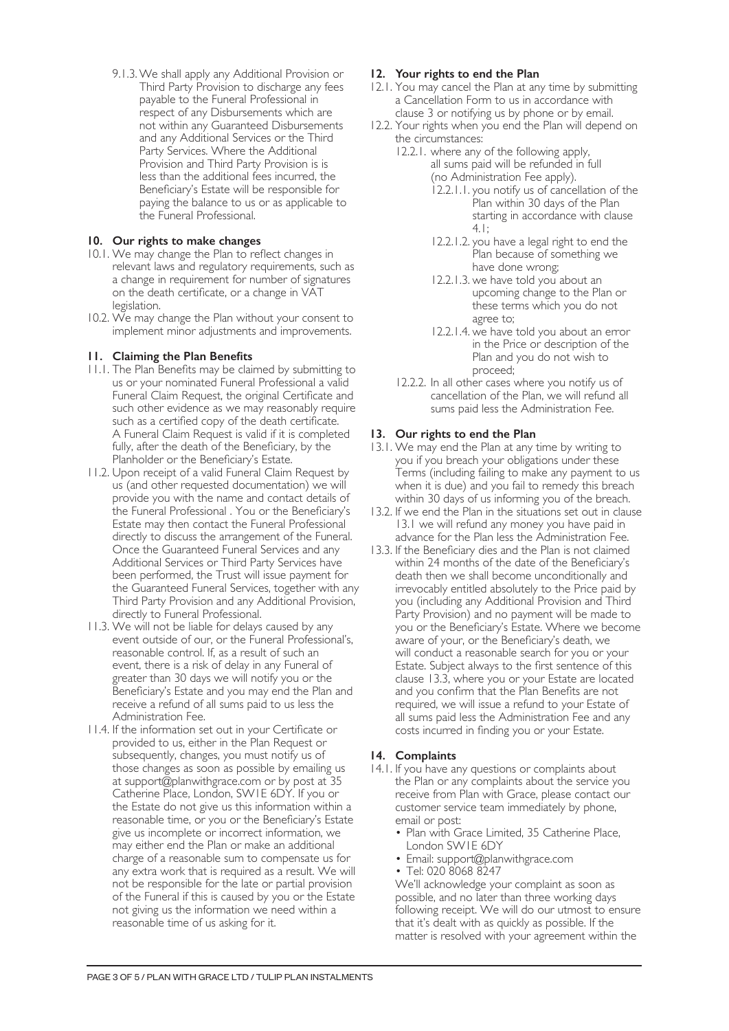9.1.3.We shall apply any Additional Provision or Third Party Provision to discharge any fees payable to the Funeral Professional in respect of any Disbursements which are not within any Guaranteed Disbursements and any Additional Services or the Third Party Services. Where the Additional Provision and Third Party Provision is is less than the additional fees incurred, the Beneficiary's Estate will be responsible for paying the balance to us or as applicable to the Funeral Professional.

## **10. Our rights to make changes**

- 10.1. We may change the Plan to reflect changes in relevant laws and regulatory requirements, such as a change in requirement for number of signatures on the death certificate, or a change in VAT legislation.
- 10.2. We may change the Plan without your consent to implement minor adjustments and improvements.

### **11. Claiming the Plan Benefits**

- 11.1. The Plan Benefits may be claimed by submitting to us or your nominated Funeral Professional a valid Funeral Claim Request, the original Certificate and such other evidence as we may reasonably require such as a certified copy of the death certificate. A Funeral Claim Request is valid if it is completed fully, after the death of the Beneficiary, by the Planholder or the Beneficiary's Estate.
- 11.2. Upon receipt of a valid Funeral Claim Request by us (and other requested documentation) we will provide you with the name and contact details of the Funeral Professional . You or the Beneficiary's Estate may then contact the Funeral Professional directly to discuss the arrangement of the Funeral. Once the Guaranteed Funeral Services and any Additional Services or Third Party Services have been performed, the Trust will issue payment for the Guaranteed Funeral Services, together with any Third Party Provision and any Additional Provision, directly to Funeral Professional.
- 11.3. We will not be liable for delays caused by any event outside of our, or the Funeral Professional's, reasonable control. If, as a result of such an event, there is a risk of delay in any Funeral of greater than 30 days we will notify you or the Beneficiary's Estate and you may end the Plan and receive a refund of all sums paid to us less the Administration Fee.
- 11.4. If the information set out in your Certificate or provided to us, either in the Plan Request or subsequently, changes, you must notify us of those changes as soon as possible by emailing us at support@planwithgrace.com or by post at 35 Catherine Place, London, SW1E 6DY. If you or the Estate do not give us this information within a reasonable time, or you or the Beneficiary's Estate give us incomplete or incorrect information, we may either end the Plan or make an additional charge of a reasonable sum to compensate us for any extra work that is required as a result. We will not be responsible for the late or partial provision of the Funeral if this is caused by you or the Estate not giving us the information we need within a reasonable time of us asking for it.

### **12. Your rights to end the Plan**

- 12.1. You may cancel the Plan at any time by submitting a Cancellation Form to us in accordance with clause 3 or notifying us by phone or by email.
- 12.2. Your rights when you end the Plan will depend on the circumstances:
	- 12.2.1. where any of the following apply, all sums paid will be refunded in full (no Administration Fee apply).
		- 12.2.1.1. you notify us of cancellation of the Plan within 30 days of the Plan starting in accordance with clause 4.1;
		- 12.2.1.2. you have a legal right to end the Plan because of something we have done wrong;
		- 12.2.1.3. we have told you about an upcoming change to the Plan or these terms which you do not agree to;
		- 12.2.1.4. we have told you about an error in the Price or description of the Plan and you do not wish to proceed;
	- 12.2.2. In all other cases where you notify us of cancellation of the Plan, we will refund all sums paid less the Administration Fee.

### **13. Our rights to end the Plan**

- 13.1. We may end the Plan at any time by writing to you if you breach your obligations under these Terms (including failing to make any payment to us when it is due) and you fail to remedy this breach within 30 days of us informing you of the breach.
- 13.2. If we end the Plan in the situations set out in clause 13.1 we will refund any money you have paid in advance for the Plan less the Administration Fee.
- 13.3. If the Beneficiary dies and the Plan is not claimed within 24 months of the date of the Beneficiary's death then we shall become unconditionally and irrevocably entitled absolutely to the Price paid by you (including any Additional Provision and Third Party Provision) and no payment will be made to you or the Beneficiary's Estate. Where we become aware of your, or the Beneficiary's death, we will conduct a reasonable search for you or your Estate. Subject always to the first sentence of this clause 13.3, where you or your Estate are located and you confirm that the Plan Benefits are not required, we will issue a refund to your Estate of all sums paid less the Administration Fee and any costs incurred in finding you or your Estate.

#### **14. Complaints**

- 14.1. If you have any questions or complaints about the Plan or any complaints about the service you receive from Plan with Grace, please contact our customer service team immediately by phone, email or post:
	- Plan with Grace Limited, 35 Catherine Place, London SW1E 6DY
	- Email: support@planwithgrace.com
	- Tel: 020 8068 8247

We'll acknowledge your complaint as soon as possible, and no later than three working days following receipt. We will do our utmost to ensure that it's dealt with as quickly as possible. If the matter is resolved with your agreement within the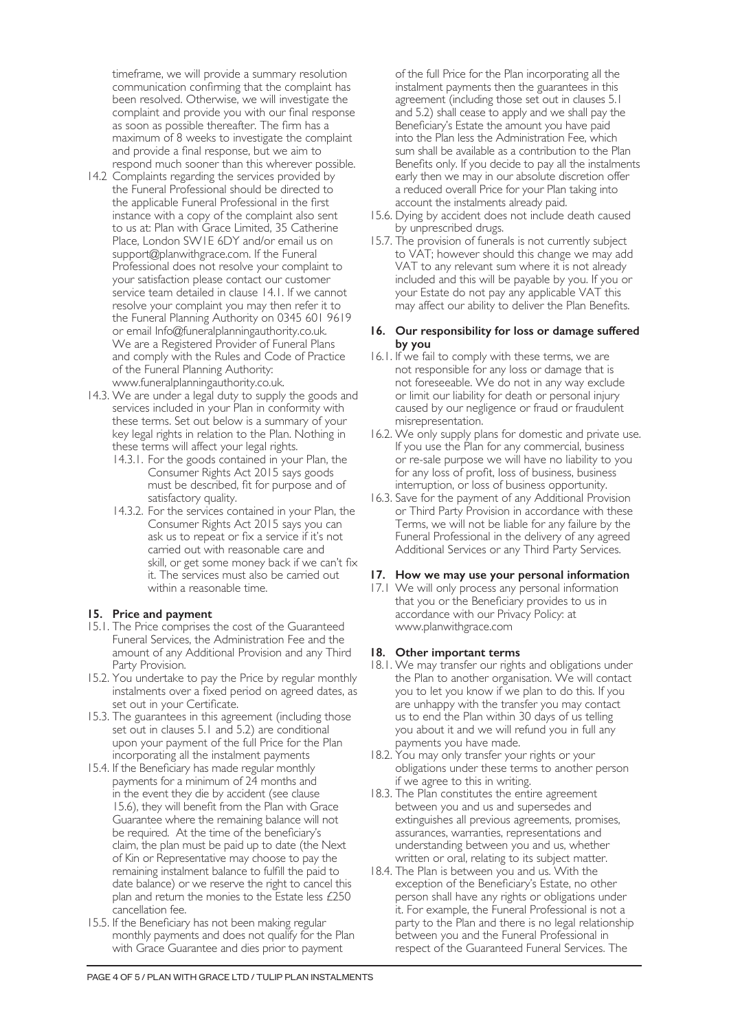timeframe, we will provide a summary resolution communication confirming that the complaint has been resolved. Otherwise, we will investigate the complaint and provide you with our final response as soon as possible thereafter. The firm has a maximum of 8 weeks to investigate the complaint and provide a final response, but we aim to respond much sooner than this wherever possible.

- 14.2 Complaints regarding the services provided by the Funeral Professional should be directed to the applicable Funeral Professional in the first instance with a copy of the complaint also sent to us at: Plan with Grace Limited, 35 Catherine Place, London SW1E 6DY and/or email us on support@planwithgrace.com. If the Funeral Professional does not resolve your complaint to your satisfaction please contact our customer service team detailed in clause 14.1. If we cannot resolve your complaint you may then refer it to the Funeral Planning Authority on 0345 601 9619 or email Info@funeralplanningauthority.co.uk. We are a Registered Provider of Funeral Plans and comply with the Rules and Code of Practice of the Funeral Planning Authority: www.funeralplanningauthority.co.uk.
- 14.3. We are under a legal duty to supply the goods and services included in your Plan in conformity with these terms. Set out below is a summary of your key legal rights in relation to the Plan. Nothing in these terms will affect your legal rights.
	- 14.3.1. For the goods contained in your Plan, the Consumer Rights Act 2015 says goods must be described, fit for purpose and of satisfactory quality.
	- 14.3.2. For the services contained in your Plan, the Consumer Rights Act 2015 says you can ask us to repeat or fix a service if it's not carried out with reasonable care and skill, or get some money back if we can't fix it. The services must also be carried out within a reasonable time.

# **15. Price and payment**

- 15.1. The Price comprises the cost of the Guaranteed Funeral Services, the Administration Fee and the amount of any Additional Provision and any Third Party Provision.
- 15.2. You undertake to pay the Price by regular monthly instalments over a fixed period on agreed dates, as set out in your Certificate.
- 15.3. The guarantees in this agreement (including those set out in clauses 5.1 and 5.2) are conditional upon your payment of the full Price for the Plan incorporating all the instalment payments
- 15.4. If the Beneficiary has made regular monthly payments for a minimum of 24 months and in the event they die by accident (see clause 15.6), they will benefit from the Plan with Grace Guarantee where the remaining balance will not be required. At the time of the beneficiary's claim, the plan must be paid up to date (the Next of Kin or Representative may choose to pay the remaining instalment balance to fulfill the paid to date balance) or we reserve the right to cancel this plan and return the monies to the Estate less £250 cancellation fee.
- 15.5. If the Beneficiary has not been making regular monthly payments and does not qualify for the Plan with Grace Guarantee and dies prior to payment

of the full Price for the Plan incorporating all the instalment payments then the guarantees in this agreement (including those set out in clauses 5.1 and 5.2) shall cease to apply and we shall pay the Beneficiary's Estate the amount you have paid into the Plan less the Administration Fee, which sum shall be available as a contribution to the Plan Benefits only. If you decide to pay all the instalments early then we may in our absolute discretion offer a reduced overall Price for your Plan taking into account the instalments already paid.

- 15.6. Dying by accident does not include death caused by unprescribed drugs.
- 15.7. The provision of funerals is not currently subject to VAT; however should this change we may add VAT to any relevant sum where it is not already included and this will be payable by you. If you or your Estate do not pay any applicable VAT this may affect our ability to deliver the Plan Benefits.

#### **16. Our responsibility for loss or damage suffered by you**

- 16.1. If we fail to comply with these terms, we are not responsible for any loss or damage that is not foreseeable. We do not in any way exclude or limit our liability for death or personal injury caused by our negligence or fraud or fraudulent misrepresentation.
- 16.2. We only supply plans for domestic and private use. If you use the Plan for any commercial, business or re-sale purpose we will have no liability to you for any loss of profit, loss of business, business interruption, or loss of business opportunity.
- 16.3. Save for the payment of any Additional Provision or Third Party Provision in accordance with these Terms, we will not be liable for any failure by the Funeral Professional in the delivery of any agreed Additional Services or any Third Party Services.

# **17. How we may use your personal information**

17.1 We will only process any personal information that you or the Beneficiary provides to us in accordance with our Privacy Policy: at www.planwithgrace.com

#### **18. Other important terms**

- 18.1. We may transfer our rights and obligations under the Plan to another organisation. We will contact you to let you know if we plan to do this. If you are unhappy with the transfer you may contact us to end the Plan within 30 days of us telling you about it and we will refund you in full any payments you have made.
- 18.2. You may only transfer your rights or your obligations under these terms to another person if we agree to this in writing.
- 18.3. The Plan constitutes the entire agreement between you and us and supersedes and extinguishes all previous agreements, promises, assurances, warranties, representations and understanding between you and us, whether written or oral, relating to its subject matter.
- 18.4. The Plan is between you and us. With the exception of the Beneficiary's Estate, no other person shall have any rights or obligations under it. For example, the Funeral Professional is not a party to the Plan and there is no legal relationship between you and the Funeral Professional in respect of the Guaranteed Funeral Services. The